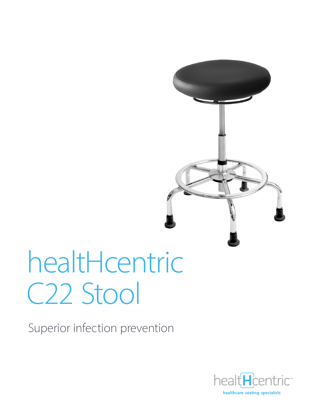

# healtHcentric C22 Stool

Superior infection prevention